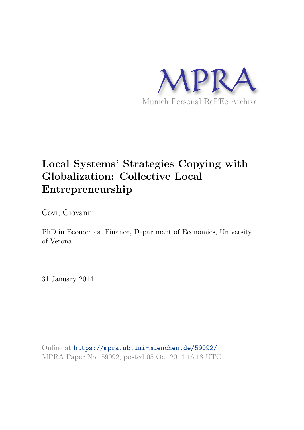

# **Local Systems' Strategies Copying with Globalization: Collective Local Entrepreneurship**

Covi, Giovanni

PhD in Economics Finance, Department of Economics, University of Verona

31 January 2014

Online at https://mpra.ub.uni-muenchen.de/59092/ MPRA Paper No. 59092, posted 05 Oct 2014 16:18 UTC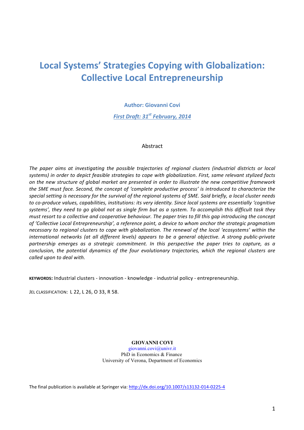# Local Systems' Strategies Copying with Globalization: **Collective Local Entrepreneurship**

**Author: Giovanni Covi** 

**First Draft: 31<sup>st</sup> February, 2014** 

### Abstract

The paper aims at investigating the possible trajectories of regional clusters (industrial districts or local systems) in order to depict feasible strategies to cope with globalization. First, same relevant stylized facts on the new structure of global market are presented in order to illustrate the new competitive framework the SME must face. Second, the concept of 'complete productive process' is introduced to characterize the special setting is necessary for the survival of the regional systems of SME. Said briefly, a local cluster needs to co-produce values, capabilities, institutions: its very identity. Since local systems are essentially 'cognitive systems', they need to go global not as single firm but as a system. To accomplish this difficult task they must resort to a collective and cooperative behaviour. The paper tries to fill this agp introducing the concept of 'Collective Local Entrepreneurship', a reference point, a device to whom anchor the strategic pragmatism necessary to regional clusters to cope with globalization. The renewal of the local 'ecosystems' within the international networks (at all different levels) appears to be a general objective. A strong public-private partnership emerges as a strategic commitment. In this perspective the paper tries to capture, as a conclusion, the potential dynamics of the four evolutionary trajectories, which the regional clusters are called upon to deal with.

KEYWORDS: Industrial clusters - innovation - knowledge - industrial policy - entrepreneurship.

JEL CLASSIFICATION: L 22, L 26, O 33, R 58.

**GIOVANNI COVI**

giovanni.covi@univr.it PhD in Economics & Finance University of Verona, Department of Economics

The final publication is available at Springer via: http://dx.doi.org/10.1007/s13132-014-0225-4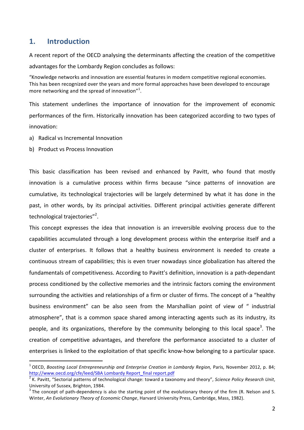### **1. Introduction**

A recent report of the OECD analysing the determinants affecting the creation of the competitive advantages for the Lombardy Region concludes as follows:

"Knowledge networks and innovation are essential features in modern competitive regional economies. This has been recognized over the years and more formal approaches have been developed to encourage more networking and the spread of innovation"<sup>1</sup>.

This statement underlines the importance of innovation for the improvement of economic performances of the firm. Historically innovation has been categorized according to two types of innovation: 

- a) Radical vs Incremental Innovation
- b) Product vs Process Innovation

This basic classification has been revised and enhanced by Pavitt, who found that mostly innovation is a cumulative process within firms because "since patterns of innovation are cumulative, its technological trajectories will be largely determined by what it has done in the past, in other words, by its principal activities. Different principal activities generate different technological trajectories"<sup>2</sup>.

This concept expresses the idea that innovation is an irreversible evolving process due to the capabilities accumulated through a long development process within the enterprise itself and a cluster of enterprises. It follows that a healthy business environment is needed to create a continuous stream of capabilities; this is even truer nowadays since globalization has altered the fundamentals of competitiveness. According to Pavitt's definition, innovation is a path-dependant process conditioned by the collective memories and the intrinsic factors coming the environment surrounding the activities and relationships of a firm or cluster of firms. The concept of a "healthy business environment" can be also seen from the Marshallian point of view of " industrial atmosphere", that is a common space shared among interacting agents such as its industry, its people, and its organizations, therefore by the community belonging to this local space<sup>3</sup>. The creation of competitive advantages, and therefore the performance associated to a cluster of enterprises is linked to the exploitation of that specific know-how belonging to a particular space.

 $^1$  OECD, Boosting Local Entrepreneurship and Enterprise Creation in Lombardy Region, Paris, November 2012, p. 84; http://www.oecd.org/cfe/leed/SBA Lombardy Report final report.pdf

<sup>&</sup>lt;sup>2</sup> K. Pavitt, "Sectorial patterns of technological change: toward a taxonomy and theory", Science Policy Research Unit, University of Sussex, Brighton, 1984.

<sup>&</sup>lt;sup>3</sup> The concept of path-dependency is also the starting point of the evolutionary theory of the firm (R. Nelson and S. Winter, An Evolutionary Theory of Economic Change, Harvard University Press, Cambridge, Mass, 1982).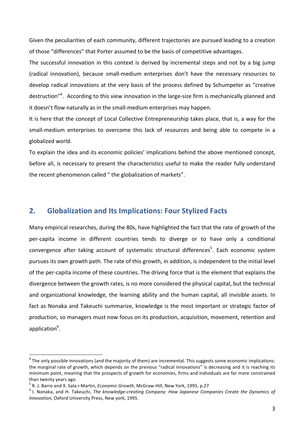Given the peculiarities of each community, different trajectories are pursued leading to a creation of those "differences" that Porter assumed to be the basis of competitive advantages.

The successful innovation in this context is derived by incremental steps and not by a big jump (radical innovation), because small-medium enterprises don't have the necessary resources to develop radical innovations at the very basis of the process defined by Schumpeter as "creative destruction"<sup>4</sup>. According to this view innovation in the large-size firm is mechanically planned and it doesn't flow naturally as in the small-medium enterprises may happen.

It is here that the concept of Local Collective Entrepreneurship takes place, that is, a way for the small-medium enterprises to overcome this lack of resources and being able to compete in a globalized world.

To explain the idea and its economic policies' implications behind the above mentioned concept, before all, is necessary to present the characteristics useful to make the reader fully understand the recent phenomenon called " the globalization of markets".

### 2. Globalization and Its Implications: Four Stylized Facts

Many empirical researches, during the 80s, have highlighted the fact that the rate of growth of the per-capita income in different countries tends to diverge or to have only a conditional convergence after taking account of systematic structural differences<sup>5</sup>. Each economic system pursues its own growth path. The rate of this growth, in addition, is independent to the initial level of the per-capita income of these countries. The driving force that is the element that explains the divergence between the growth rates, is no more considered the physical capital, but the technical and organizational knowledge, the learning ability and the human capital, all invisible assets. In fact as Nonaka and Takeuchi summarize, knowledge is the most important or strategic factor of production, so managers must now focus on its production, acquisition, movement, retention and application<sup>6</sup>.

 $^4$  The only possible innovations (and the majority of them) are incremental. This suggests some economic implications: the marginal rate of growth, which depends on the previous "radical innovations" is decreasing and it is reaching its minimum point, meaning that the prospects of growth for economies, firms and individuals are far more constrained than twenty years ago.

<sup>&</sup>lt;sup>5</sup> R. J. Barro and X. Sala-i-Martin, *Economic Growth*, McGraw-Hill, New York, 1995, p.27

<sup>&</sup>lt;sup>6</sup> I. Nonaka, and H. Takeuchi, The knowledge-creating Company: How Japanese Companies Create the Dynamics of *Innovation, Oxford University Press, New york, 1995.*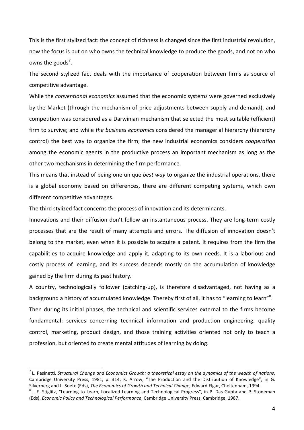This is the first stylized fact: the concept of richness is changed since the first industrial revolution, now the focus is put on who owns the technical knowledge to produce the goods, and not on who owns the goods<sup>7</sup>.

The second stylized fact deals with the importance of cooperation between firms as source of competitive advantage.

While the *conventional economics* assumed that the economic systems were governed exclusively by the Market (through the mechanism of price adjustments between supply and demand), and competition was considered as a Darwinian mechanism that selected the most suitable (efficient) firm to survive; and while the business economics considered the managerial hierarchy (hierarchy control) the best way to organize the firm; the new industrial economics considers *cooperation* among the economic agents in the productive process an important mechanism as long as the other two mechanisms in determining the firm performance.

This means that instead of being one unique *best way* to organize the industrial operations, there is a global economy based on differences, there are different competing systems, which own different competitive advantages.

The third stylized fact concerns the process of innovation and its determinants.

Innovations and their diffusion don't follow an instantaneous process. They are long-term costly processes that are the result of many attempts and errors. The diffusion of innovation doesn't belong to the market, even when it is possible to acquire a patent. It requires from the firm the capabilities to acquire knowledge and apply it, adapting to its own needs. It is a laborious and costly process of learning, and its success depends mostly on the accumulation of knowledge gained by the firm during its past history.

A country, technologically follower (catching-up), is therefore disadvantaged, not having as a background a history of accumulated knowledge. Thereby first of all, it has to "learning to learn"<sup>8</sup>. Then during its initial phases, the technical and scientific services external to the firms become fundamental: services concerning technical information and production engineering, quality control, marketing, product design, and those training activities oriented not only to teach a profession, but oriented to create mental attitudes of learning by doing.

 $^7$  L. Pasinetti, Structural Change and Economics Growth: a theoretical essay on the dynamics of the wealth of nations, Cambridge University Press, 1981, p. 314; K. Arrow, "The Production and the Distribution of Knowledge", in G. Silverberg and L. Soete (Eds), The Economics of Growth and Technical Change, Edward Elgar, Cheltenham, 1994.

<sup>&</sup>lt;sup>8</sup> J. E. Stiglitz, "Learning to Learn, Localized Learning and Technological Progress", in P. Das Gupta and P. Stoneman (Eds), Economic Policy and Technological Performance, Cambridge University Press, Cambridge, 1987.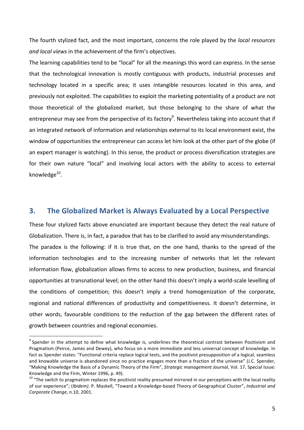The fourth stylized fact, and the most important, concerns the role played by the *local resources* and local views in the achievement of the firm's objectives.

The learning capabilities tend to be "local" for all the meanings this word can express. In the sense that the technological innovation is mostly contiguous with products, industrial processes and technology located in a specific area; it uses intangible resources located in this area, and previously not exploited. The capabilities to exploit the marketing potentiality of a product are not those theoretical of the globalized market, but those belonging to the share of what the entrepreneur may see from the perspective of its factory<sup>9</sup>. Nevertheless taking into account that if an integrated network of information and relationships external to its local environment exist, the window of opportunities the entrepreneur can access let him look at the other part of the globe (if an expert manager is watching). In this sense, the product or process diversification strategies are for their own nature "local" and involving local actors with the ability to access to external knowledge<sup>10</sup>.

### **3.** The Globalized Market is Always Evaluated by a Local Perspective

These four stylized facts above enunciated are important because they detect the real nature of Globalization. There is, in fact, a paradox that has to be clarified to avoid any misunderstandings. The paradox is the following: if it is true that, on the one hand, thanks to the spread of the information technologies and to the increasing number of networks that let the relevant information flow, globalization allows firms to access to new production, business, and financial opportunities at transnational level; on the other hand this doesn't imply a world-scale levelling of the conditions of competition; this doesn't imply a trend homogenization of the corporate, regional and national differences of productivity and competitiveness. It doesn't determine, in other words, favourable conditions to the reduction of the gap between the different rates of growth between countries and regional economies.

 $9$  Spender in the attempt to define what knowledge is, underlines the theoretical contrast between Positivism and Pragmatism (Peirce, James and Dewey), who focus on a more immediate and less universal concept of knowledge. In fact as Spender states: "Functional criteria replace logical tests, and the positivist presupposition of a logical, seamless and knowable universe is abandoned since no practice engages more than a fraction of the universe" (J.C. Spender, "Making Knowledge the Basis of a Dynamic Theory of the Firm", Strategic management Journal, Vol. 17, Special Issue: Knowledge and the Firm, Winter 1996, p. 49).

 $10$  "The switch to pragmatism replaces the positivist reality presumed mirrored in our perceptions with the local reality of our experience"; (Ibidem). P. Maskell, "Toward a Knowledge-based Theory of Geographical Cluster", Industrial and Corporate Change, n.10, 2001.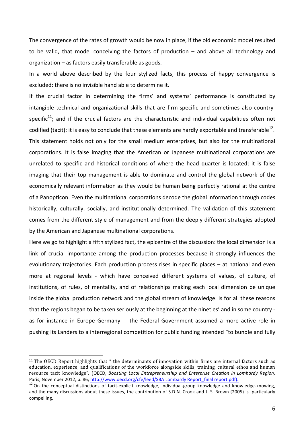The convergence of the rates of growth would be now in place, if the old economic model resulted to be valid, that model conceiving the factors of production  $-$  and above all technology and organization  $-$  as factors easily transferable as goods.

In a world above described by the four stylized facts, this process of happy convergence is excluded: there is no invisible hand able to determine it.

If the crucial factor in determining the firms' and systems' performance is constituted by intangible technical and organizational skills that are firm-specific and sometimes also countryspecific<sup>11</sup>; and if the crucial factors are the characteristic and individual capabilities often not codified (tacit): it is easy to conclude that these elements are hardly exportable and transferable<sup>12</sup>. This statement holds not only for the small medium enterprises, but also for the multinational corporations. It is false imaging that the American or Japanese multinational corporations are unrelated to specific and historical conditions of where the head quarter is located; it is false imaging that their top management is able to dominate and control the global network of the economically relevant information as they would be human being perfectly rational at the centre of a Panopticon. Even the multinational corporations decode the global information through codes historically, culturally, socially, and institutionally determined. The validation of this statement comes from the different style of management and from the deeply different strategies adopted by the American and Japanese multinational corporations.

Here we go to highlight a fifth stylized fact, the epicentre of the discussion: the local dimension is a link of crucial importance among the production processes because it strongly influences the evolutionary trajectories. Each production process rises in specific places  $-$  at national and even more at regional levels - which have conceived different systems of values, of culture, of institutions, of rules, of mentality, and of relationships making each local dimension be unique inside the global production network and the global stream of knowledge. Is for all these reasons that the regions began to be taken seriously at the beginning at the nineties' and in some country as for instance in Europe Germany - the Federal Government assumed a more active role in pushing its Landers to a interregional competition for public funding intended "to bundle and fully

<sup>&</sup>lt;sup>11</sup> The OECD Report highlights that " the determinants of innovation within firms are internal factors such as education, experience, and qualifications of the workforce alongside skills, training, cultural ethos and human resource tacit knowledge", (OECD, Boosting Local Entrepreneurship and Enterprise Creation in Lombardy Region, Paris, November 2012, p. 86; http://www.oecd.org/cfe/leed/SBA Lombardy Report final report.pdf).

 $12$  On the conceptual distinctions of tacit-explicit knowledge, individual-group knowledge and knowledge-knowing, and the many discussions about these issues, the contribution of S.D.N. Crook and J. S. Brown (2005) is particularly compelling.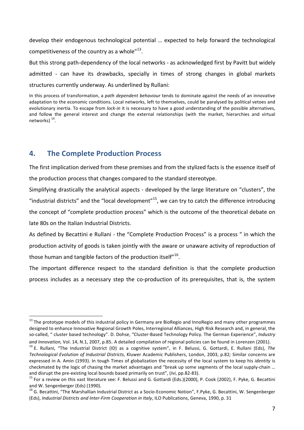develop their endogenous technological potential ... expected to help forward the technological competitiveness of the country as a whole" $^{13}$ . But this strong path-dependency of the local networks - as acknowledged first by Pavitt but widely admitted - can have its drawbacks, specially in times of strong changes in global markets

structures currently underway. As underlined by Rullani:

In this process of transformation, a path dependent behaviour tends to dominate against the needs of an innovative adaptation to the economic conditions. Local networks, left to themselves, could be paralysed by political vetoes and evolutionary inertia. To escape from lock-in it is necessary to have a good understanding of the possible alternatives, and follow the general interest and change the external relationships (with the market, hierarchies and virtual networks)  $^{14}$ .

## **4.** The Complete Production Process

The first implication derived from these premises and from the stylized facts is the essence itself of the production process that changes compared to the standard stereotype.

Simplifying drastically the analytical aspects - developed by the large literature on "clusters", the "industrial districts" and the "local development"<sup>15</sup>, we can try to catch the difference introducing the concept of "complete production process" which is the outcome of the theoretical debate on late 80s on the Italian Industrial Districts.

As defined by Becattini e Rullani - the "Complete Production Process" is a process " in which the production activity of goods is taken jointly with the aware or unaware activity of reproduction of those human and tangible factors of the production itself" $^{16}$ .

The important difference respect to the standard definition is that the complete production process includes as a necessary step the co-production of its prerequisites, that is, the system

<sup>&</sup>lt;sup>13</sup> The prototype models of this industrial policy in Germany are BioRegio and InnoRegio and many other programmes designed to enhance Innovative Regional Growth Poles, Interregional Alliances, High Risk Research and, in general, the so-called, " cluster based technology". D. Dohse, "Cluster-Based Technology Policy. The German Experience", Industry and Innovation, Vol. 14, N.1, 2007, p.85. A detailed compilation of regional policies can be found in Lorenzen (2001).

<sup>&</sup>lt;sup>14</sup> E. Rullani, "The Industrial District (ID) as a cognitive system", in F. Belussi, G. Gottardi, E. Rullani (Eds), The Technological Evolution of Industrial Districts, Kluwer Academic Publishers, London, 2003, p.82; Similar concerns are expressed in A. Amin (1993). In tough Times of globalization the necessity of the local system to keep his *identity* is checkmated by the logic of chasing the market advantages and "break up some segments of the local supply-chain ... and disrupt the pre-existing local bounds based primarily on trust", (Ivi, pp.82-83).

<sup>&</sup>lt;sup>15</sup> For a review on this vast literature see: F. Belussi and G. Gottardi (Eds.)(2000), P. Cook (2002), F. Pyke, G. Becattini and W. Sengenberger (Eds) (1990).

<sup>&</sup>lt;sup>16</sup> G. Becattini, "The Marshallian Industrial District as a Socio-Economic Notion", F.Pyke, G. Becattini, W. Sengenberger (Eds), Industrial Districts and Inter-Firm Cooperation in Italy, ILO Publications, Geneva, 1990, p. 31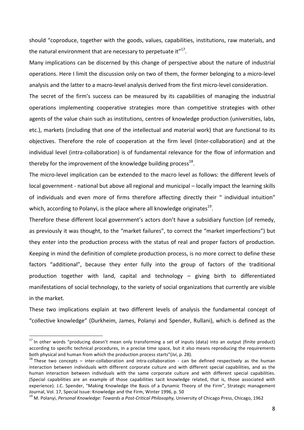should "coproduce, together with the goods, values, capabilities, institutions, raw materials, and the natural environment that are necessary to perpetuate it" $^{17}$ .

Many implications can be discerned by this change of perspective about the nature of industrial operations. Here I limit the discussion only on two of them, the former belonging to a micro-level analysis and the latter to a macro-level analysis derived from the first micro-level consideration.

The secret of the firm's success can be measured by its capabilities of managing the industrial operations implementing cooperative strategies more than competitive strategies with other agents of the value chain such as institutions, centres of knowledge production (universities, labs, etc.), markets (including that one of the intellectual and material work) that are functional to its objectives. Therefore the role of cooperation at the firm level (Inter-collaboration) and at the individual level (intra-collaboration) is of fundamental relevance for the flow of information and thereby for the improvement of the knowledge building process $^{18}$ .

The micro-level implication can be extended to the macro level as follows: the different levels of local government - national but above all regional and municipal – locally impact the learning skills of individuals and even more of firms therefore affecting directly their " individual intuition" which, according to Polanyi, is the place where all knowledge originates $^{19}$ .

Therefore these different local government's actors don't have a subsidiary function (of remedy, as previously it was thought, to the "market failures", to correct the "market imperfections") but they enter into the production process with the status of real and proper factors of production. Keeping in mind the definition of complete production process, is no more correct to define these factors "additional", because they enter fully into the group of factors of the traditional production together with land, capital and technology  $-$  giving birth to differentiated manifestations of social technology, to the variety of social organizations that currently are visible in the market.

These two implications explain at two different levels of analysis the fundamental concept of "collective knowledge" (Durkheim, James, Polanyi and Spender, Rullani), which is defined as the

<sup>&</sup>lt;sup>17</sup> In other words "producing doesn't mean only transforming a set of inputs (data) into an output (finite product) according to specific technical procedures, in a precise time space, but it also means reproducing the requirements both physical and human from which the production process starts"(*Ivi*, p. 28).

 $18$  These two concepts – inter-collaboration and intra-collaboration - can be defined respectively as the human interaction between individuals with different corporate culture and with different special capabilities, and as the human interaction between individuals with the same corporate culture and with different special capabilities. (Special capabilities are an example of those capabilities tacit knowledge related, that is, those associated with experience). J.C. Spender, "Making Knowledge the Basis of a Dynamic Theory of the Firm", Strategic management Journal, Vol. 17, Special Issue: Knowledge and the Firm, Winter 1996, p. 50

<sup>&</sup>lt;sup>19</sup> M. Polanyi, Personal Knowledge: Towards a Post-Critical Philosophy, University of Chicago Press, Chicago, 1962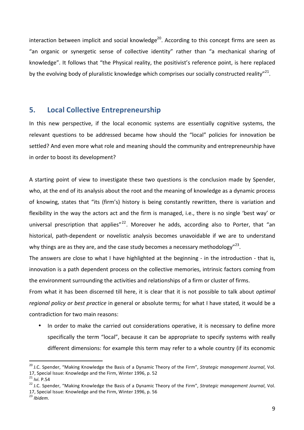interaction between implicit and social knowledge<sup>20</sup>. According to this concept firms are seen as "an organic or synergetic sense of collective identity" rather than "a mechanical sharing of knowledge". It follows that "the Physical reality, the positivist's reference point, is here replaced by the evolving body of pluralistic knowledge which comprises our socially constructed reality"<sup>21</sup>.

### **5.** Local Collective Entrepreneurship

In this new perspective, if the local economic systems are essentially cognitive systems, the relevant questions to be addressed became how should the "local" policies for innovation be settled? And even more what role and meaning should the community and entrepreneurship have in order to boost its development?

A starting point of view to investigate these two questions is the conclusion made by Spender, who, at the end of its analysis about the root and the meaning of knowledge as a dynamic process of knowing, states that "its (firm's) history is being constantly rewritten, there is variation and flexibility in the way the actors act and the firm is managed, i.e., there is no single 'best way' or universal prescription that applies"<sup>22</sup>. Moreover he adds, according also to Porter, that "an historical, path-dependent or novelistic analysis becomes unavoidable if we are to understand why things are as they are, and the case study becomes a necessary methodology"<sup>23</sup>.

The answers are close to what I have highlighted at the beginning - in the introduction - that is, innovation is a path dependent process on the collective memories, intrinsic factors coming from the environment surrounding the activities and relationships of a firm or cluster of firms.

From what it has been discerned till here, it is clear that it is not possible to talk about *optimal* regional policy or best practice in general or absolute terms; for what I have stated, it would be a contradiction for two main reasons:

In order to make the carried out considerations operative, it is necessary to define more specifically the term "local", because it can be appropriate to specify systems with really different dimensions: for example this term may refer to a whole country (if its economic

<sup>23</sup> *Ibidem.*

<sup>&</sup>lt;sup>20</sup> J.C. Spender, "Making Knowledge the Basis of a Dynamic Theory of the Firm", Strategic management Journal, Vol. 17, Special Issue: Knowledge and the Firm, Winter 1996, p. 52

<sup>21</sup> *Ivi.* P.54

<sup>&</sup>lt;sup>22</sup> J.C. Spender, "Making Knowledge the Basis of a Dynamic Theory of the Firm", Strategic management Journal, Vol. 17, Special Issue: Knowledge and the Firm, Winter 1996, p. 56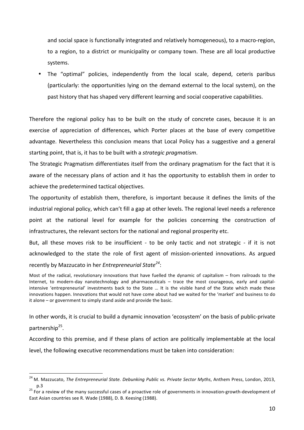and social space is functionally integrated and relatively homogeneous), to a macro-region, to a region, to a district or municipality or company town. These are all local productive systems. 

• The "optimal" policies, independently from the local scale, depend, ceteris paribus (particularly: the opportunities lying on the demand external to the local system), on the past history that has shaped very different learning and social cooperative capabilities.

Therefore the regional policy has to be built on the study of concrete cases, because it is an exercise of appreciation of differences, which Porter places at the base of every competitive advantage. Nevertheless this conclusion means that Local Policy has a suggestive and a general starting point, that is, it has to be built with a strategic pragmatism.

The Strategic Pragmatism differentiates itself from the ordinary pragmatism for the fact that it is aware of the necessary plans of action and it has the opportunity to establish them in order to achieve the predetermined tactical objectives.

The opportunity of establish them, therefore, is important because it defines the limits of the industrial regional policy, which can't fill a gap at other levels. The regional level needs a reference point at the national level for example for the policies concerning the construction of infrastructures, the relevant sectors for the national and regional prosperity etc.

But, all these moves risk to be insufficient - to be only tactic and not strategic - if it is not acknowledged to the state the role of first agent of mission-oriented innovations. As argued recently by Mazzucato in her *Entrepreneurial State<sup>24</sup>*:

Most of the radical, revolutionary innovations that have fuelled the dynamic of capitalism  $-$  from railroads to the Internet, to modern-day nanotechnology and pharmaceuticals - trace the most courageous, early and capitalintensive 'entrepreneurial' investments back to the State ... It is the visible hand of the State which made these innovations happen. Innovations that would not have come about had we waited for the 'market' and business to do it alone – or government to simply stand aside and provide the basic.

In other words, it is crucial to build a dynamic innovation 'ecosystem' on the basis of public-private partnership<sup>25</sup>.

According to this premise, and if these plans of action are politically implementable at the local level, the following executive recommendations must be taken into consideration:

<sup>&</sup>lt;sup>24</sup> M. Mazzucato, The Entrepreneurial State. Debunking Public vs. Private Sector Myths, Anthem Press, London, 2013, p.3

<sup>25</sup> For a review of the many successful cases of a proactive role of governments in innovation-growth-development of East Asian countries see R. Wade (1988), D. B. Keesing (1988).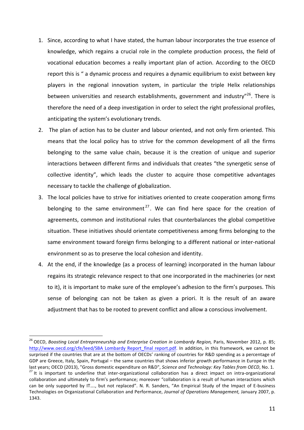- 1. Since, according to what I have stated, the human labour incorporates the true essence of knowledge, which regains a crucial role in the complete production process, the field of vocational education becomes a really important plan of action. According to the OECD report this is " a dynamic process and requires a dynamic equilibrium to exist between key players in the regional innovation system, in particular the triple Helix relationships between universities and research establishments, government and industry"<sup>26</sup>. There is therefore the need of a deep investigation in order to select the right professional profiles, anticipating the system's evolutionary trends.
- 2. The plan of action has to be cluster and labour oriented, and not only firm oriented. This means that the local policy has to strive for the common development of all the firms belonging to the same value chain, because it is the creation of unique and superior interactions between different firms and individuals that creates "the synergetic sense of collective identity", which leads the cluster to acquire those competitive advantages necessary to tackle the challenge of globalization.
- 3. The local policies have to strive for initiatives oriented to create cooperation among firms belonging to the same environment<sup>27</sup>. We can find here space for the creation of agreements, common and institutional rules that counterbalances the global competitive situation. These initiatives should orientate competitiveness among firms belonging to the same environment toward foreign firms belonging to a different national or inter-national environment so as to preserve the local cohesion and identity.
- 4. At the end, if the knowledge (as a process of learning) incorporated in the human labour regains its strategic relevance respect to that one incorporated in the machineries (or next to it), it is important to make sure of the employee's adhesion to the firm's purposes. This sense of belonging can not be taken as given a priori. It is the result of an aware adjustment that has to be rooted to prevent conflict and allow a conscious involvement.

<sup>&</sup>lt;sup>26</sup> OECD, Boosting Local Entrepreneurship and Enterprise Creation in Lombardy Region, Paris, November 2012, p. 85; http://www.oecd.org/cfe/leed/SBA Lombardy Report final report.pdf. In addition, in this framework, we cannot be surprised if the countries that are at the bottom of OECDs' ranking of countries for R&D spending as a percentage of GDP are Greece, Italy, Spain, Portugal – the same countries that shows inferior growth performance in Europe in the last years; OECD (2013), "Gross domestic expenditure on R&D", Science and Technology: Key Tables from OECD, No. 1. <sup>27</sup> It is important to underline that inter-organizational collaboration has a direct impact on intra-organizational collaboration and ultimately to firm's performance; moreover "collaboration is a result of human interactions which can be only supported by IT...., but not replaced". N. R. Sanders, "An Empirical Study of the Impact of E-business Technologies on Organizational Collaboration and Performance, Journal of Operations Management, January 2007, p. 1343.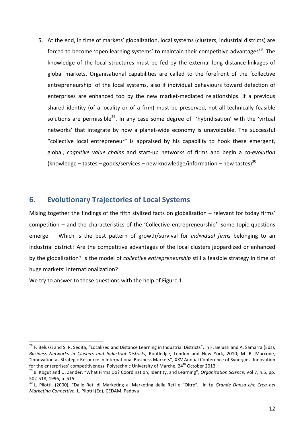5. At the end, in time of markets' globalization, local systems (clusters, industrial districts) are forced to become 'open learning systems' to maintain their competitive advantages<sup>28</sup>. The knowledge of the local structures must be fed by the external long distance-linkages of global markets. Organisational capabilities are called to the forefront of the 'collective entrepreneurship' of the local systems, also if individual behaviours toward defection of enterprises are enhanced too by the new market-mediated relationships. If a previous shared identity (of a locality or of a firm) must be preserved, not all technically feasible solutions are permissible<sup>29</sup>. In any case some degree of 'hybridisation' with the 'virtual networks' that integrate by now a planet-wide economy is unavoidable. The successful "collective local entrepreneur" is appraised by his capability to hook these emergent, global, *cognitive value chains* and start-up networks of firms and begin a co-evolution (knowledge – tastes – goods/services – new knowledge/information – new tastes)<sup>30</sup>.

## **6.** Evolutionary Trajectories of Local Systems

Mixing together the findings of the fifth stylized facts on globalization  $-$  relevant for today firms' competition  $-$  and the characteristics of the 'Collective entrepreneurship', some topic questions emerge. Which is the best pattern of growth/survival for *individual firms* belonging to an industrial district? Are the competitive advantages of the local clusters jeopardized or enhanced by the globalization? Is the model of *collective entrepreneurship* still a feasible strategy in time of huge markets' internationalization?

We try to answer to these questions with the help of Figure 1.

<sup>&</sup>lt;sup>28</sup> F. Belussi and S. R. Sedita, "Localized and Distance Learning in Industrial Districts", in F. Belussi and A. Samarra (Eds), Business Networks in Clusters and Industrial Districts, Routledge, London and New York, 2010; M. R. Marcone, "Innovation as Strategic Resource in International Business Markets", XXV Annual Conference of Synergies. Innovation for the enterprises' competitiveness, Polytechnic University of Marche, 24<sup>th</sup> October 2013.

<sup>&</sup>lt;sup>29</sup> B. Kogut and U. Zander, "What Firms Do? Coordination, Identity, and Learning", Organization Science, Vol 7, n.5, pp. 502-518, 1996, p. 515

<sup>&</sup>lt;sup>30</sup> L. Pilotti, (2000), "Dalle Reti di Marketing al Marketing delle Reti e "Oltre", in La Grande Danza che Crea nel Marketing Connettivo, L. Pilotti (Ed), CEDAM, Padova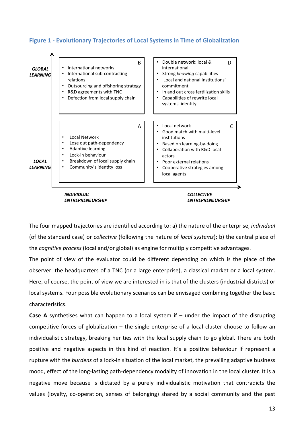



The four mapped trajectories are identified according to: a) the nature of the enterprise, *individual* (of the standard case) or *collective* (following the nature of *local systems*); b) the central place of the *cognitive process* (local and/or global) as engine for multiply competitive advantages.

The point of view of the evaluator could be different depending on which is the place of the observer: the headquarters of a TNC (or a large enterprise), a classical market or a local system. Here, of course, the point of view we are interested in is that of the clusters (industrial districts) or local systems. Four possible evolutionary scenarios can be envisaged combining together the basic characteristics. 

**Case A** synthetises what can happen to a local system if  $-$  under the impact of the disrupting competitive forces of globalization  $-$  the single enterprise of a local cluster choose to follow an individualistic strategy, breaking her ties with the local supply chain to go global. There are both positive and negative aspects in this kind of reaction. It's a positive behaviour if represent a rupture with the burdens of a lock-in situation of the local market, the prevailing adaptive business mood, effect of the long-lasting path-dependency modality of innovation in the local cluster. It is a negative move because is dictated by a purely individualistic motivation that contradicts the values (loyalty, co-operation, senses of belonging) shared by a social community and the past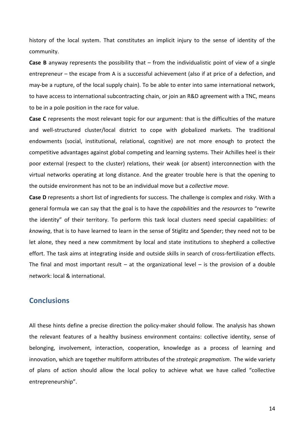history of the local system. That constitutes an implicit injury to the sense of identity of the community. 

**Case B** anyway represents the possibility that  $-$  from the individualistic point of view of a single entrepreneur – the escape from A is a successful achievement (also if at price of a defection, and may-be a rupture, of the local supply chain). To be able to enter into same international network, to have access to international subcontracting chain, or join an R&D agreement with a TNC, means to be in a pole position in the race for value.

**Case C** represents the most relevant topic for our argument: that is the difficulties of the mature and well-structured cluster/local district to cope with globalized markets. The traditional endowments (social, institutional, relational, cognitive) are not more enough to protect the competitive advantages against global competing and learning systems. Their Achilles heel is their poor external (respect to the cluster) relations, their weak (or absent) interconnection with the virtual networks operating at long distance. And the greater trouble here is that the opening to the outside environment has not to be an individual move but a *collective move.* 

**Case D** represents a short list of ingredients for success. The challenge is complex and risky. With a general formula we can say that the goal is to have the *capabilities* and the *resources* to "rewrite the identity" of their territory. To perform this task local clusters need special capabilities: of knowing, that is to have learned to learn in the sense of Stiglitz and Spender; they need not to be let alone, they need a new commitment by local and state institutions to shepherd a collective effort. The task aims at integrating inside and outside skills in search of cross-fertilization effects. The final and most important result – at the organizational level – is the provision of a double network: local & international.

### **Conclusions**

All these hints define a precise direction the policy-maker should follow. The analysis has shown the relevant features of a healthy business environment contains: collective identity, sense of belonging, involvement, interaction, cooperation, knowledge as a process of learning and innovation, which are together multiform attributes of the *strategic pragmatism*. The wide variety of plans of action should allow the local policy to achieve what we have called "collective entrepreneurship".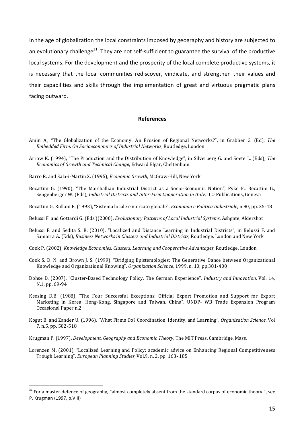In the age of globalization the local constraints imposed by geography and history are subjected to an evolutionary challenge<sup>31</sup>. They are not self-sufficient to guarantee the survival of the productive local systems. For the development and the prosperity of the local complete productive systems, it is necessary that the local communities rediscover, vindicate, and strengthen their values and their capabilities and skills through the implementation of great and virtuous pragmatic plans facing outward.

#### **References**

- Amin A., "The Globalization of the Economy: An Erosion of Regional Networks?", in Grabher G. (Ed), The Embedded Firm. On Socioeconomics of Industrial Networks, Routledge, London
- Arrow K. (1994), "The Production and the Distribution of Knowledge", in Silverberg G. and Soete L. (Eds), The Economics of Growth and Technical Change, Edward Elgar, Cheltenham
- Barro R. and Sala-i-Martin X. (1995), *Economic Growth*, McGraw-Hill, New York
- Becattini G. (1990), "The Marshallian Industrial District as a Socio-Economic Notion", Pyke F., Becattini G., Sengenberger W. (Eds), *Industrial Districts and Inter-Firm Cooperation in Italy*, ILO Publications, Geneva
- Becattini G, Rullani E. (1993), "Sistema locale e mercato globale", *Economia e Politica Industriale*, n.80, pp. 25-48
- Belussi F. and Gottardi G. (Eds.)(2000), Evolutionary Patterns of Local Industrial Systems, Ashgate, Aldershot
- Belussi F. and Sedita S. R. (2010), "Localized and Distance Learning in Industrial Districts", in Belussi F. and Samarra A. (Eds), Business Networks in Clusters and Industrial Districts, Routledge, London and New York
- Cook P. (2002), Knowledge Economies. Clusters, Learning and Cooperative Advantages, Routledge, London
- Cook S. D. N. and Brown J. S. (1999), "Bridging Epistemologies: The Generative Dance between Organizational Knowledge and Organizational Knowing", Organization Science, 1999, n. 10, pp.381-400
- Dohse D. (2007), "Cluster-Based Technology Policy. The German Experience", *Industry and Innovation*, Vol. 14, N.1, pp. 69-94
- Keesing D.B. (1988), "The Four Successful Exceptions: Official Export Promotion and Support for Export Marketing in Korea, Hong-Kong, Singapore and Taiwan, China", UNDP- WB Trade Expansion Program Occasional Paper n.2,
- Kogut B. and Zander U. (1996), "What Firms Do? Coordination, Identity, and Learning", Organization Science, Vol 7, n.5, pp. 502-518
- Krugman P. (1997), *Development, Geography and Economic Theory*, The MIT Press, Cambridge, Mass.

Lorenzen M. (2001), "Localized Learning and Policy: academic advice on Enhancing Regional Competitiveness Trough Learning", *European Planning Studies*, Vol.9, n. 2, pp. 163-185

<sup>&</sup>lt;sup>31</sup> For a master-defence of geography, "almost completely absent from the standard corpus of economic theory ", see P. Krugman (1997, p.VIII)